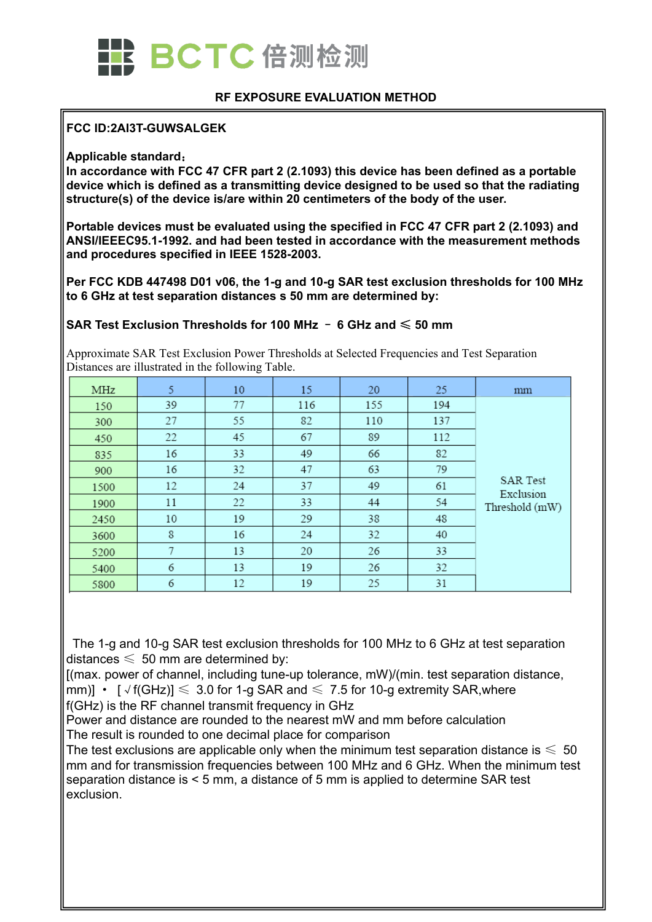

#### **RF EXPOSURE EVALUATION METHOD**

#### **FCC ID:2AI3T-GUWSALGEK**

#### **Applicable standard**:

**In accordance with FCC 47 CFR part 2 (2.1093) this device has been defined as a portable device which is defined as a transmitting device designed to be used so that the radiating structure(s) of the device is/are within 20 centimeters of the body of the user.**

**Portable devices must be evaluated using the specified in FCC 47 CFR part 2 (2.1093) and ANSI/IEEEC95.1-1992. and had been tested in accordance with the measurement methods and procedures specified in IEEE 1528-2003.**

**Per FCC KDB 447498 D01 v06, the 1-g and 10-g SAR test exclusion thresholds for 100 MHz to 6 GHz at test separation distances s 50 mm are determined by:**

#### **SAR Test Exclusion Thresholds for 100 MHz** – **6 GHz and** ≤ **50 mm**

Approximate SAR Test Exclusion Power Thresholds at Selected Frequencies and Test Separation Distances are illustrated in the following Table.

| MHz  | 5  | 10 | 15  | 20  | 25  | mm                           |
|------|----|----|-----|-----|-----|------------------------------|
| 150  | 39 | 77 | 116 | 155 | 194 |                              |
| 300  | 27 | 55 | 82  | 110 | 137 |                              |
| 450  | 22 | 45 | 67  | 89  | 112 |                              |
| 835  | 16 | 33 | 49  | 66  | 82  |                              |
| 900  | 16 | 32 | 47  | 63  | 79  | <b>SAR Test</b><br>Exclusion |
| 1500 | 12 | 24 | 37  | 49  | 61  |                              |
| 1900 | 11 | 22 | 33  | 44  | 54  | Threshold (mW)               |
| 2450 | 10 | 19 | 29  | 38  | 48  |                              |
| 3600 | 8  | 16 | 24  | 32  | 40  |                              |
| 5200 | 7  | 13 | 20  | 26  | 33  |                              |
| 5400 | 6  | 13 | 19  | 26  | 32  |                              |
| 5800 | 6  | 12 | 19  | 25  | 31  |                              |

The 1-g and 10-g SAR test exclusion thresholds for 100 MHz to 6 GHz at test separation distances  $\leqslant 50$  mm are determined by:

[(max. power of channel, including tune-up tolerance, mW)/(min. test separation distance, mm)] •  $\lceil \sqrt{f(GHz)} \rceil \leq 3.0$  for 1-g SAR and  $\leq 7.5$  for 10-g extremity SAR, where f(GHz) is the RF channel transmit frequency in GHz

Power and distance are rounded to the nearest mW and mm before calculation The result is rounded to one decimal place for comparison

The test exclusions are applicable only when the minimum test separation distance is  $\leq 50$ mm and for transmission frequencies between 100 MHz and 6 GHz. When the minimum test separation distance is < 5 mm, a distance of 5 mm is applied to determine SAR test exclusion.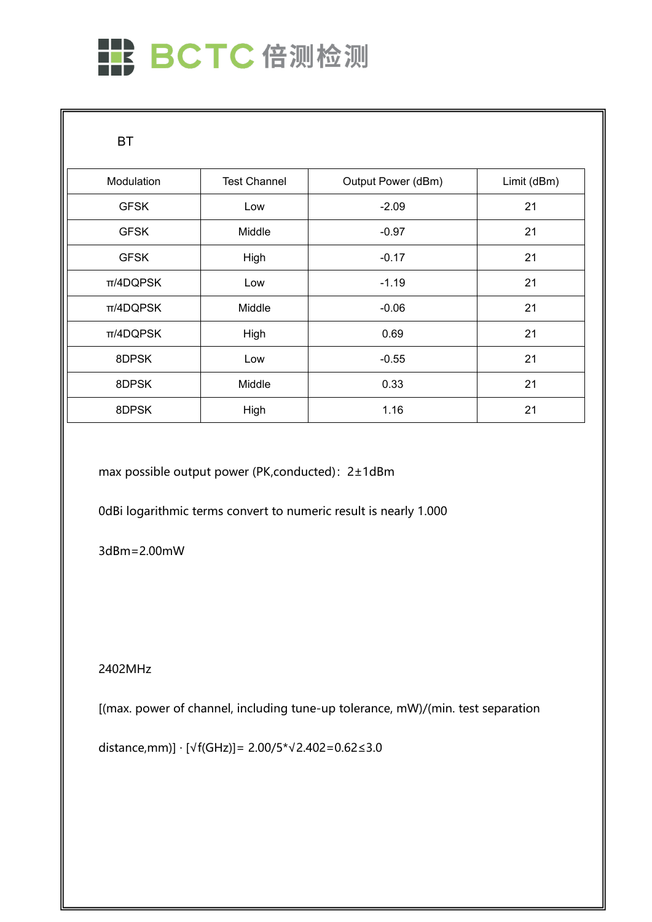# HE BCTC倍测检测

**BT** 

| Modulation    | <b>Test Channel</b> | Output Power (dBm) | Limit (dBm) |
|---------------|---------------------|--------------------|-------------|
| <b>GFSK</b>   | Low                 | $-2.09$            | 21          |
| <b>GFSK</b>   | Middle              | $-0.97$            | 21          |
| <b>GFSK</b>   | High                | $-0.17$            | 21          |
| $\pi$ /4DQPSK | Low                 | $-1.19$            | 21          |
| π/4DQPSK      | Middle              | $-0.06$            | 21          |
| π/4DQPSK      | High                | 0.69               | 21          |
| 8DPSK         | Low                 | $-0.55$            | 21          |
| 8DPSK         | Middle              | 0.33               | 21          |
| 8DPSK         | High                | 1.16               | 21          |

max possible output power (PK,conducted): 2±1dBm

0dBi logarithmic terms convert to numeric result is nearly 1.000

3dBm=2.00mW

2402MHz

[(max. power of channel, including tune-up tolerance, mW)/(min. test separation

distance,mm)] · [√f(GHz)]= 2.00/5\*√2.402=0.62≤3.0